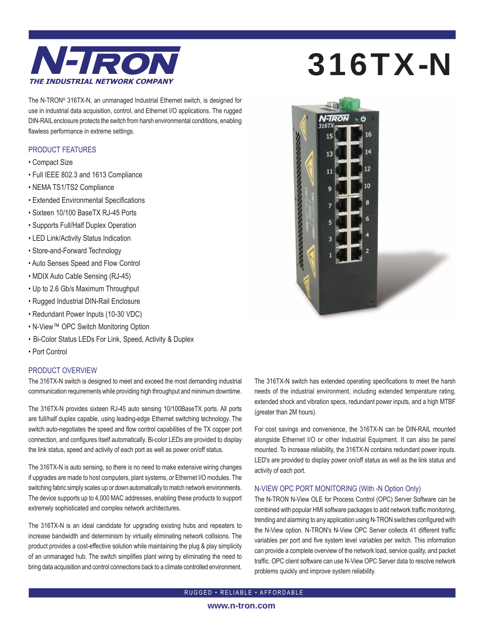

The N-TRON® 316TX-N, an unmanaged Industrial Ethernet switch, is designed for use in industrial data acquisition, control, and Ethernet I/O applications. The rugged DIN-RAIL enclosure protects the switch from harsh environmental conditions, enabling flawless performance in extreme settings.

## PRODUCT FEATURES

- Compact Size
- Full IEEE 802.3 and 1613 Compliance
- NEMA TS1/TS2 Compliance
- Extended Environmental Specifications
- Sixteen 10/100 BaseTX RJ-45 Ports
- Supports Full/Half Duplex Operation
- LED Link/Activity Status Indication
- Store-and-Forward Technology
- Auto Senses Speed and Flow Control
- MDIX Auto Cable Sensing (RJ-45)
- Up to 2.6 Gb/s Maximum Throughput
- Rugged Industrial DIN-Rail Enclosure
- Redundant Power Inputs (10-30 VDC)
- N-View™ OPC Switch Monitoring Option
- Bi-Color Status LEDs For Link, Speed, Activity & Duplex
- Port Control

## PRODUCT OVERVIEW

The 316TX-N switch is designed to meet and exceed the most demanding industrial communication requirements while providing high throughput and minimum downtime.

The 316TX-N provides sixteen RJ-45 auto sensing 10/100BaseTX ports. All ports are full/half duplex capable, using leading-edge Ethernet switching technology. The switch auto-negotiates the speed and flow control capabilities of the TX copper port connection, and configures itself automatically. Bi-color LEDs are provided to display the link status, speed and activity of each port as well as power on/off status.

The 316TX-N is auto sensing, so there is no need to make extensive wiring changes if upgrades are made to host computers, plant systems, or Ethernet I/O modules. The switching fabric simply scales up or down automatically to match network environments. The device supports up to 4,000 MAC addresses, enabling these products to support extremely sophisticated and complex network architectures.

The 316TX-N is an ideal candidate for upgrading existing hubs and repeaters to increase bandwidth and determinism by virtually eliminating network collisions. The product provides a cost-effective solution while maintaining the plug & play simplicity of an unmanaged hub. The switch simplifies plant wiring by eliminating the need to bring data acquisition and control connections back to a climate controlled environment.

# 316TX-N



The 316TX-N switch has extended operating specifications to meet the harsh needs of the industrial environment, including extended temperature rating, extended shock and vibration specs, redundant power inputs, and a high MTBF (greater than 2M hours).

For cost savings and convenience, the 316TX-N can be DIN-RAIL mounted alongside Ethernet I/O or other Industrial Equipment. It can also be panel mounted. To increase reliability, the 316TX-N contains redundant power inputs. LED's are provided to display power on/off status as well as the link status and activity of each port.

### N-VIEW OPC PORT MONITORING (With -N Option Only)

The N-TRON N-View OLE for Process Control (OPC) Server Software can be combined with popular HMI software packages to add network traffic monitoring, trending and alarming to any application using N-TRON switches configured with the N-View option. N-TRON's N-View OPC Server collects 41 different traffic variables per port and five system level variables per switch. This information can provide a complete overview of the network load, service quality, and packet traffic. OPC client software can use N-View OPC Server data to resolve network problems quickly and improve system reliability.

RUGGED • RELIABLE • AFFORDABLE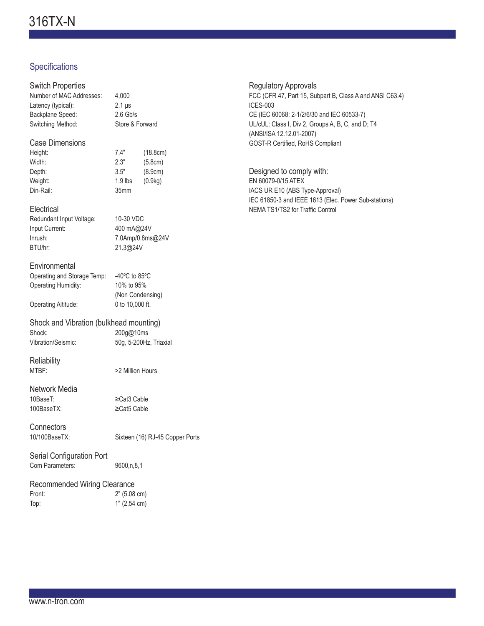# Specifications

| <b>Switch Properties</b><br>Number of MAC Addresses:<br>Latency (typical):<br>Backplane Speed:<br>Switching Method: | 4,000<br>$2.1 \,\mu s$<br>$2.6$ Gb/s<br>Store & Forward                                  |                                           |
|---------------------------------------------------------------------------------------------------------------------|------------------------------------------------------------------------------------------|-------------------------------------------|
| <b>Case Dimensions</b><br>Height:<br>Width:<br>Depth:<br>Weight:<br>Din-Rail:                                       | 7.4"<br>2.3"<br>3.5"<br>1.9 lbs<br>35mm                                                  | (18.8cm)<br>(5.8cm)<br>(8.9cm)<br>(0.9kg) |
| Electrical<br>Redundant Input Voltage:<br>Input Current:<br>Inrush:<br>BTU/hr:                                      | 10-30 VDC<br>400 mA@24V<br>21.3@24V                                                      | 7.0Amp/0.8ms@24V                          |
| Environmental<br>Operating and Storage Temp:<br>Operating Humidity:<br><b>Operating Altitude:</b>                   | -40 $^{\circ}$ C to 85 $^{\circ}$ C<br>10% to 95%<br>(Non Condensing)<br>0 to 10,000 ft. |                                           |
| Shock and Vibration (bulkhead mounting)<br>Shock:<br>200g@10ms<br>Vibration/Seismic:<br>50g, 5-200Hz, Triaxial      |                                                                                          |                                           |
| Reliability<br>MTBF:                                                                                                | >2 Million Hours                                                                         |                                           |
| Network Media<br>10BaseT:<br>100BaseTX:                                                                             | ≥Cat3 Cable<br>≥Cat5 Cable                                                               |                                           |
| Connectors<br>10/100BaseTX:                                                                                         |                                                                                          | Sixteen (16) RJ-45 Copper Ports           |
| Serial Configuration Port<br>Com Parameters:                                                                        | 9600,n,8,1                                                                               |                                           |
|                                                                                                                     |                                                                                          |                                           |

## Recommended Wiring Clearance

| Front: | 2" (5.08 cm) |
|--------|--------------|
| Top:   | 1" (2.54 cm) |

Regulatory Approvals FCC (CFR 47, Part 15, Subpart B, Class A and ANSI C63.4) ICES-003 CE (IEC 60068: 2-1/2/6/30 and IEC 60533-7) UL/cUL: Class I, Div 2, Groups A, B, C, and D; T4 (ANSI/ISA 12.12.01-2007) GOST-R Certified, RoHS Compliant

Designed to comply with: EN 60079-0/15 ATEX IACS UR E10 (ABS Type-Approval) IEC 61850-3 and IEEE 1613 (Elec. Power Sub-stations) NEMA TS1/TS2 for Traffic Control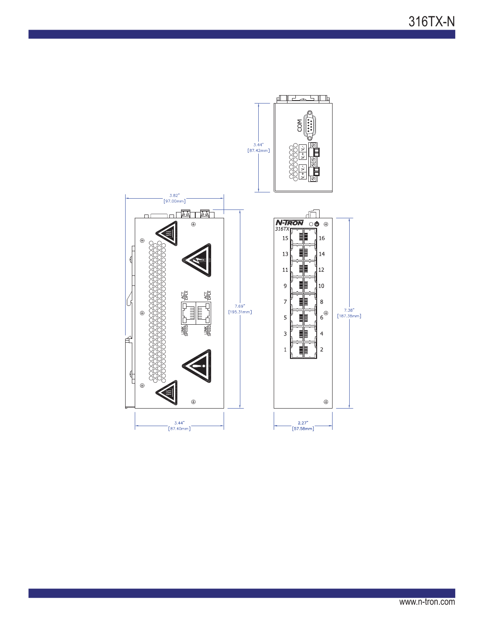